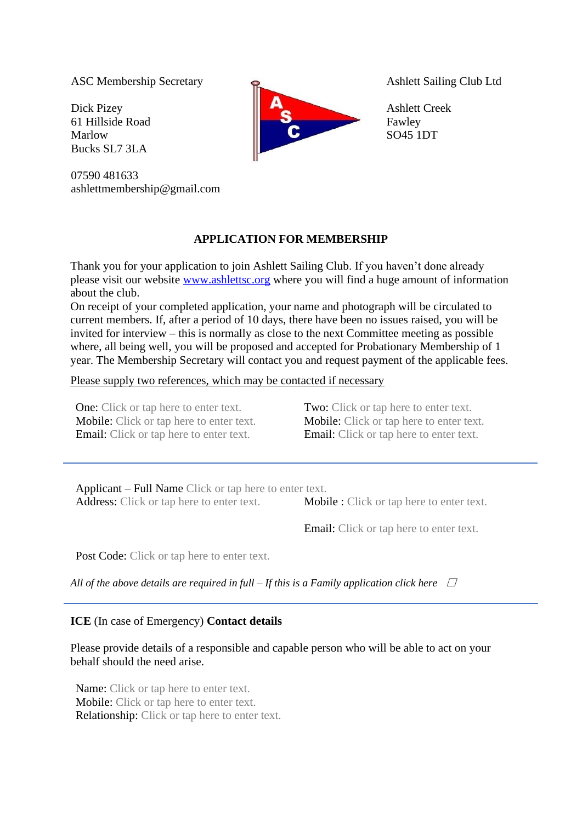ASC Membership Secretary

Dick Pizey 61 Hillside Road Marlow Bucks SL7 3LA

07590 481633 ashlettmembership@gmail.com



Ashlett Sailing Club Ltd

Ashlett Creek Fawley SO45 1DT

## **APPLICATION FOR MEMBERSHIP**

Thank you for your application to join Ashlett Sailing Club. If you haven't done already please visit our website [www.ashlettsc.org](http://www.ashlettsc.org/) where you will find a huge amount of information about the club.

On receipt of your completed application, your name and photograph will be circulated to current members. If, after a period of 10 days, there have been no issues raised, you will be invited for interview – this is normally as close to the next Committee meeting as possible where, all being well, you will be proposed and accepted for Probationary Membership of 1 year. The Membership Secretary will contact you and request payment of the applicable fees.

## Please supply two references, which may be contacted if necessary

One: Click or tap here to enter text. Two: Click or tap here to enter text. Mobile: Click or tap here to enter text. Mobile: Click or tap here to enter text. Email: Click or tap here to enter text. Email: Click or tap here to enter text.

Applicant – Full Name Click or tap here to enter text. Address: Click or tap here to enter text. Mobile : Click or tap here to enter text.

Email: Click or tap here to enter text.

Post Code: Click or tap here to enter text.

*All of the above details are required in full*  $-I$  *f this is a Family application click here*  $\Box$ 

## **ICE** (In case of Emergency) **Contact details**

Please provide details of a responsible and capable person who will be able to act on your behalf should the need arise.

Name: Click or tap here to enter text. Mobile: Click or tap here to enter text. Relationship: Click or tap here to enter text.